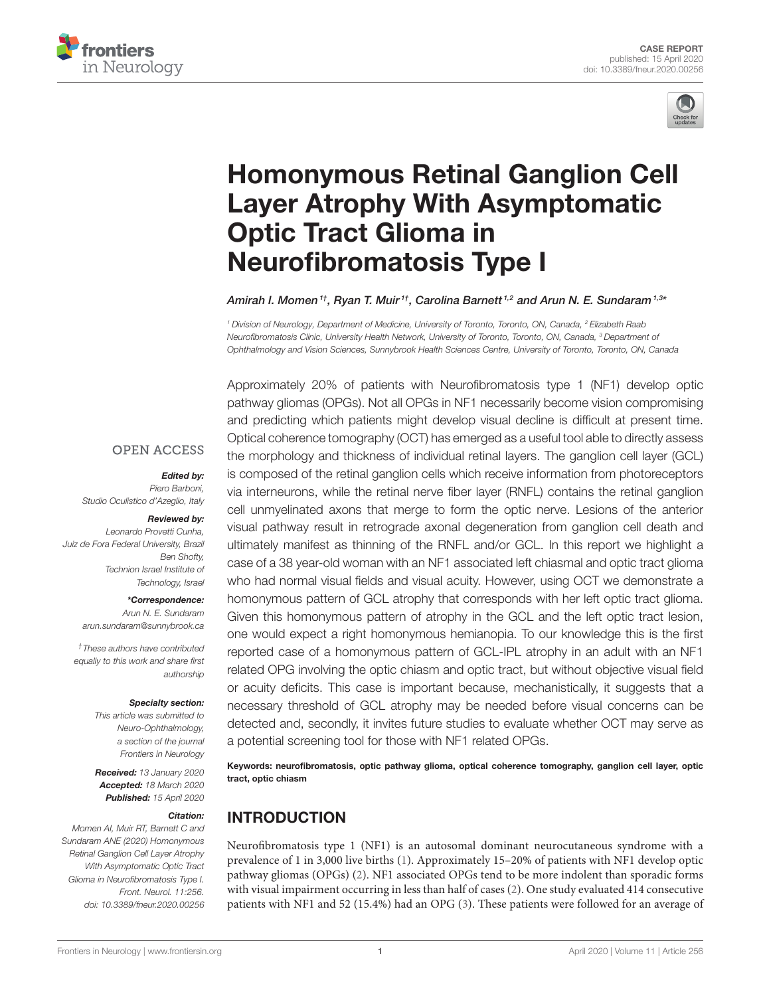



# [Homonymous Retinal Ganglion Cell](https://www.frontiersin.org/articles/10.3389/fneur.2020.00256/full) Layer Atrophy With Asymptomatic Optic Tract Glioma in Neurofibromatosis Type I

Amirah I. Momen $^{\textit{1}t}$ , [Ryan T. Muir](http://loop.frontiersin.org/people/812850/overview) $^{\textit{1}t}$ , [Carolina Barnett](http://loop.frontiersin.org/people/682356/overview) $^{\textit{1,2}}$  and Arun N. E. Sundaram $^{\textit{1,3}t}$ 

*<sup>1</sup> Division of Neurology, Department of Medicine, University of Toronto, Toronto, ON, Canada, <sup>2</sup> Elizabeth Raab Neurofibromatosis Clinic, University Health Network, University of Toronto, Toronto, ON, Canada, <sup>3</sup> Department of Ophthalmology and Vision Sciences, Sunnybrook Health Sciences Centre, University of Toronto, Toronto, ON, Canada*

Approximately 20% of patients with Neurofibromatosis type 1 (NF1) develop optic pathway gliomas (OPGs). Not all OPGs in NF1 necessarily become vision compromising and predicting which patients might develop visual decline is difficult at present time. Optical coherence tomography (OCT) has emerged as a useful tool able to directly assess the morphology and thickness of individual retinal layers. The ganglion cell layer (GCL) is composed of the retinal ganglion cells which receive information from photoreceptors via interneurons, while the retinal nerve fiber layer (RNFL) contains the retinal ganglion cell unmyelinated axons that merge to form the optic nerve. Lesions of the anterior visual pathway result in retrograde axonal degeneration from ganglion cell death and ultimately manifest as thinning of the RNFL and/or GCL. In this report we highlight a case of a 38 year-old woman with an NF1 associated left chiasmal and optic tract glioma who had normal visual fields and visual acuity. However, using OCT we demonstrate a homonymous pattern of GCL atrophy that corresponds with her left optic tract glioma. Given this homonymous pattern of atrophy in the GCL and the left optic tract lesion, one would expect a right homonymous hemianopia. To our knowledge this is the first reported case of a homonymous pattern of GCL-IPL atrophy in an adult with an NF1 related OPG involving the optic chiasm and optic tract, but without objective visual field or acuity deficits. This case is important because, mechanistically, it suggests that a necessary threshold of GCL atrophy may be needed before visual concerns can be detected and, secondly, it invites future studies to evaluate whether OCT may serve as a potential screening tool for those with NF1 related OPGs.

Keywords: neurofibromatosis, optic pathway glioma, optical coherence tomography, ganglion cell layer, optic tract, optic chiasm

## INTRODUCTION

Neurofibromatosis type 1 (NF1) is an autosomal dominant neurocutaneous syndrome with a prevalence of 1 in 3,000 live births [\(1\)](#page-4-0). Approximately 15–20% of patients with NF1 develop optic pathway gliomas (OPGs) [\(2\)](#page-4-1). NF1 associated OPGs tend to be more indolent than sporadic forms with visual impairment occurring in less than half of cases [\(2\)](#page-4-1). One study evaluated 414 consecutive patients with NF1 and 52 (15.4%) had an OPG [\(3\)](#page-4-2). These patients were followed for an average of

### **OPEN ACCESS**

#### Edited by:

*Piero Barboni, Studio Oculistico d'Azeglio, Italy*

#### Reviewed by:

*Leonardo Provetti Cunha, Juiz de Fora Federal University, Brazil Ben Shofty, Technion Israel Institute of Technology, Israel*

\*Correspondence:

*Arun N. E. Sundaram [arun.sundaram@sunnybrook.ca](mailto:arun.sundaram@sunnybrook.ca)*

*†These authors have contributed equally to this work and share first authorship*

#### Specialty section:

*This article was submitted to Neuro-Ophthalmology, a section of the journal Frontiers in Neurology*

Received: *13 January 2020* Accepted: *18 March 2020* Published: *15 April 2020*

#### Citation:

*Momen AI, Muir RT, Barnett C and Sundaram ANE (2020) Homonymous Retinal Ganglion Cell Layer Atrophy With Asymptomatic Optic Tract Glioma in Neurofibromatosis Type I. Front. Neurol. 11:256. doi: [10.3389/fneur.2020.00256](https://doi.org/10.3389/fneur.2020.00256)*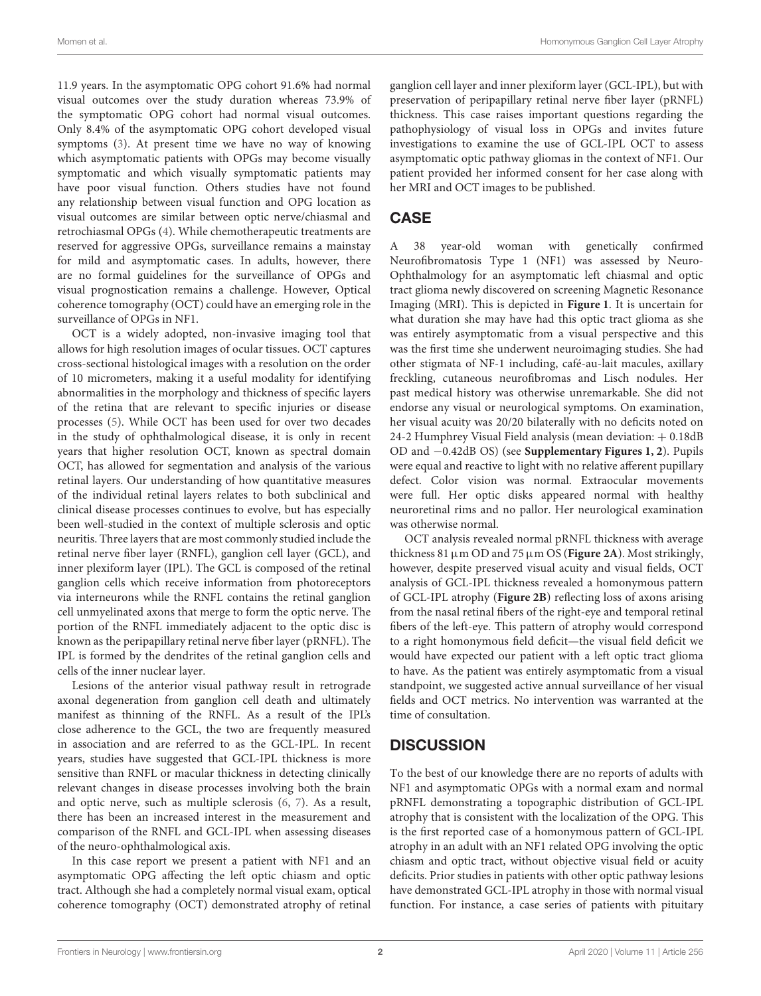11.9 years. In the asymptomatic OPG cohort 91.6% had normal visual outcomes over the study duration whereas 73.9% of the symptomatic OPG cohort had normal visual outcomes. Only 8.4% of the asymptomatic OPG cohort developed visual symptoms [\(3\)](#page-4-2). At present time we have no way of knowing which asymptomatic patients with OPGs may become visually symptomatic and which visually symptomatic patients may have poor visual function. Others studies have not found any relationship between visual function and OPG location as visual outcomes are similar between optic nerve/chiasmal and retrochiasmal OPGs [\(4\)](#page-4-3). While chemotherapeutic treatments are reserved for aggressive OPGs, surveillance remains a mainstay for mild and asymptomatic cases. In adults, however, there are no formal guidelines for the surveillance of OPGs and visual prognostication remains a challenge. However, Optical coherence tomography (OCT) could have an emerging role in the surveillance of OPGs in NF1.

OCT is a widely adopted, non-invasive imaging tool that allows for high resolution images of ocular tissues. OCT captures cross-sectional histological images with a resolution on the order of 10 micrometers, making it a useful modality for identifying abnormalities in the morphology and thickness of specific layers of the retina that are relevant to specific injuries or disease processes [\(5\)](#page-4-4). While OCT has been used for over two decades in the study of ophthalmological disease, it is only in recent years that higher resolution OCT, known as spectral domain OCT, has allowed for segmentation and analysis of the various retinal layers. Our understanding of how quantitative measures of the individual retinal layers relates to both subclinical and clinical disease processes continues to evolve, but has especially been well-studied in the context of multiple sclerosis and optic neuritis. Three layers that are most commonly studied include the retinal nerve fiber layer (RNFL), ganglion cell layer (GCL), and inner plexiform layer (IPL). The GCL is composed of the retinal ganglion cells which receive information from photoreceptors via interneurons while the RNFL contains the retinal ganglion cell unmyelinated axons that merge to form the optic nerve. The portion of the RNFL immediately adjacent to the optic disc is known as the peripapillary retinal nerve fiber layer (pRNFL). The IPL is formed by the dendrites of the retinal ganglion cells and cells of the inner nuclear layer.

Lesions of the anterior visual pathway result in retrograde axonal degeneration from ganglion cell death and ultimately manifest as thinning of the RNFL. As a result of the IPL's close adherence to the GCL, the two are frequently measured in association and are referred to as the GCL-IPL. In recent years, studies have suggested that GCL-IPL thickness is more sensitive than RNFL or macular thickness in detecting clinically relevant changes in disease processes involving both the brain and optic nerve, such as multiple sclerosis [\(6,](#page-4-5) [7\)](#page-4-6). As a result, there has been an increased interest in the measurement and comparison of the RNFL and GCL-IPL when assessing diseases of the neuro-ophthalmological axis.

In this case report we present a patient with NF1 and an asymptomatic OPG affecting the left optic chiasm and optic tract. Although she had a completely normal visual exam, optical coherence tomography (OCT) demonstrated atrophy of retinal

ganglion cell layer and inner plexiform layer (GCL-IPL), but with preservation of peripapillary retinal nerve fiber layer (pRNFL) thickness. This case raises important questions regarding the pathophysiology of visual loss in OPGs and invites future investigations to examine the use of GCL-IPL OCT to assess asymptomatic optic pathway gliomas in the context of NF1. Our patient provided her informed consent for her case along with her MRI and OCT images to be published.

# CASE

A 38 year-old woman with genetically confirmed Neurofibromatosis Type 1 (NF1) was assessed by Neuro-Ophthalmology for an asymptomatic left chiasmal and optic tract glioma newly discovered on screening Magnetic Resonance Imaging (MRI). This is depicted in **[Figure 1](#page-2-0)**. It is uncertain for what duration she may have had this optic tract glioma as she was entirely asymptomatic from a visual perspective and this was the first time she underwent neuroimaging studies. She had other stigmata of NF-1 including, café-au-lait macules, axillary freckling, cutaneous neurofibromas and Lisch nodules. Her past medical history was otherwise unremarkable. She did not endorse any visual or neurological symptoms. On examination, her visual acuity was 20/20 bilaterally with no deficits noted on 24-2 Humphrey Visual Field analysis (mean deviation: + 0.18dB OD and −0.42dB OS) (see **[Supplementary Figures 1, 2](#page-4-7)**). Pupils were equal and reactive to light with no relative afferent pupillary defect. Color vision was normal. Extraocular movements were full. Her optic disks appeared normal with healthy neuroretinal rims and no pallor. Her neurological examination was otherwise normal.

OCT analysis revealed normal pRNFL thickness with average thickness 81  $\mu$ m OD and 75  $\mu$ m OS (**[Figure 2A](#page-3-0)**). Most strikingly, however, despite preserved visual acuity and visual fields, OCT analysis of GCL-IPL thickness revealed a homonymous pattern of GCL-IPL atrophy (**[Figure 2B](#page-3-0)**) reflecting loss of axons arising from the nasal retinal fibers of the right-eye and temporal retinal fibers of the left-eye. This pattern of atrophy would correspond to a right homonymous field deficit—the visual field deficit we would have expected our patient with a left optic tract glioma to have. As the patient was entirely asymptomatic from a visual standpoint, we suggested active annual surveillance of her visual fields and OCT metrics. No intervention was warranted at the time of consultation.

# **DISCUSSION**

To the best of our knowledge there are no reports of adults with NF1 and asymptomatic OPGs with a normal exam and normal pRNFL demonstrating a topographic distribution of GCL-IPL atrophy that is consistent with the localization of the OPG. This is the first reported case of a homonymous pattern of GCL-IPL atrophy in an adult with an NF1 related OPG involving the optic chiasm and optic tract, without objective visual field or acuity deficits. Prior studies in patients with other optic pathway lesions have demonstrated GCL-IPL atrophy in those with normal visual function. For instance, a case series of patients with pituitary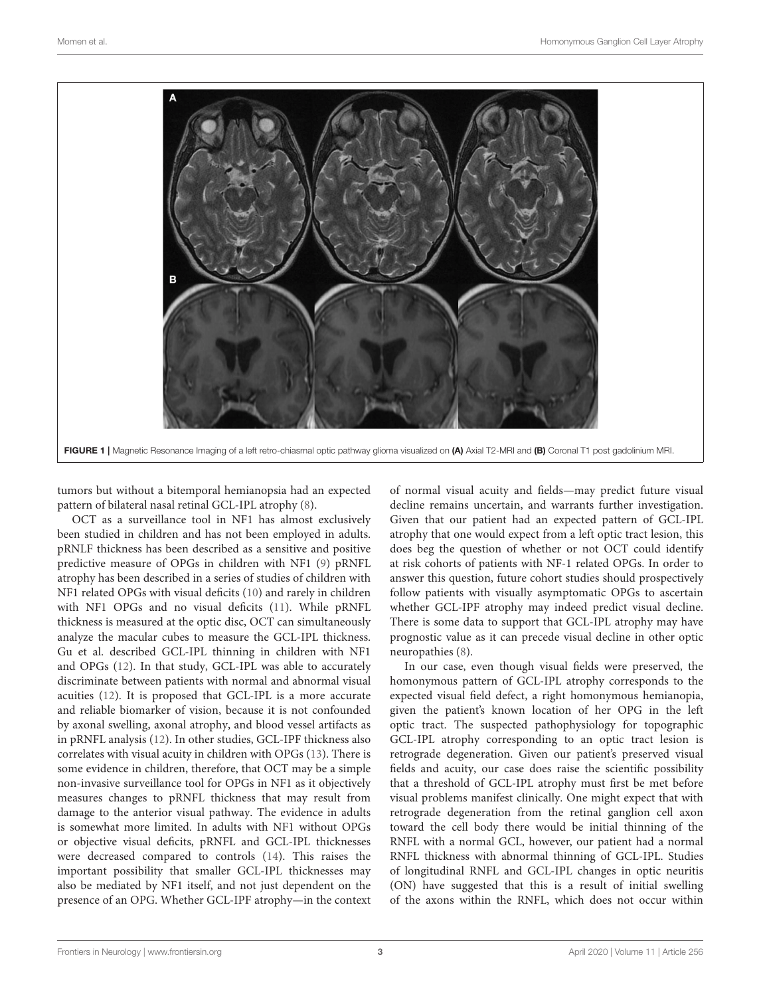

<span id="page-2-0"></span>tumors but without a bitemporal hemianopsia had an expected pattern of bilateral nasal retinal GCL-IPL atrophy [\(8\)](#page-4-8).

OCT as a surveillance tool in NF1 has almost exclusively been studied in children and has not been employed in adults. pRNLF thickness has been described as a sensitive and positive predictive measure of OPGs in children with NF1 [\(9\)](#page-4-9) pRNFL atrophy has been described in a series of studies of children with NF1 related OPGs with visual deficits [\(10\)](#page-4-10) and rarely in children with NF1 OPGs and no visual deficits [\(11\)](#page-4-11). While pRNFL thickness is measured at the optic disc, OCT can simultaneously analyze the macular cubes to measure the GCL-IPL thickness. Gu et al. described GCL-IPL thinning in children with NF1 and OPGs [\(12\)](#page-4-12). In that study, GCL-IPL was able to accurately discriminate between patients with normal and abnormal visual acuities [\(12\)](#page-4-12). It is proposed that GCL-IPL is a more accurate and reliable biomarker of vision, because it is not confounded by axonal swelling, axonal atrophy, and blood vessel artifacts as in pRNFL analysis [\(12\)](#page-4-12). In other studies, GCL-IPF thickness also correlates with visual acuity in children with OPGs [\(13\)](#page-4-13). There is some evidence in children, therefore, that OCT may be a simple non-invasive surveillance tool for OPGs in NF1 as it objectively measures changes to pRNFL thickness that may result from damage to the anterior visual pathway. The evidence in adults is somewhat more limited. In adults with NF1 without OPGs or objective visual deficits, pRNFL and GCL-IPL thicknesses were decreased compared to controls [\(14\)](#page-4-14). This raises the important possibility that smaller GCL-IPL thicknesses may also be mediated by NF1 itself, and not just dependent on the presence of an OPG. Whether GCL-IPF atrophy—in the context of normal visual acuity and fields—may predict future visual decline remains uncertain, and warrants further investigation. Given that our patient had an expected pattern of GCL-IPL atrophy that one would expect from a left optic tract lesion, this does beg the question of whether or not OCT could identify at risk cohorts of patients with NF-1 related OPGs. In order to answer this question, future cohort studies should prospectively follow patients with visually asymptomatic OPGs to ascertain whether GCL-IPF atrophy may indeed predict visual decline. There is some data to support that GCL-IPL atrophy may have prognostic value as it can precede visual decline in other optic neuropathies [\(8\)](#page-4-8).

In our case, even though visual fields were preserved, the homonymous pattern of GCL-IPL atrophy corresponds to the expected visual field defect, a right homonymous hemianopia, given the patient's known location of her OPG in the left optic tract. The suspected pathophysiology for topographic GCL-IPL atrophy corresponding to an optic tract lesion is retrograde degeneration. Given our patient's preserved visual fields and acuity, our case does raise the scientific possibility that a threshold of GCL-IPL atrophy must first be met before visual problems manifest clinically. One might expect that with retrograde degeneration from the retinal ganglion cell axon toward the cell body there would be initial thinning of the RNFL with a normal GCL, however, our patient had a normal RNFL thickness with abnormal thinning of GCL-IPL. Studies of longitudinal RNFL and GCL-IPL changes in optic neuritis (ON) have suggested that this is a result of initial swelling of the axons within the RNFL, which does not occur within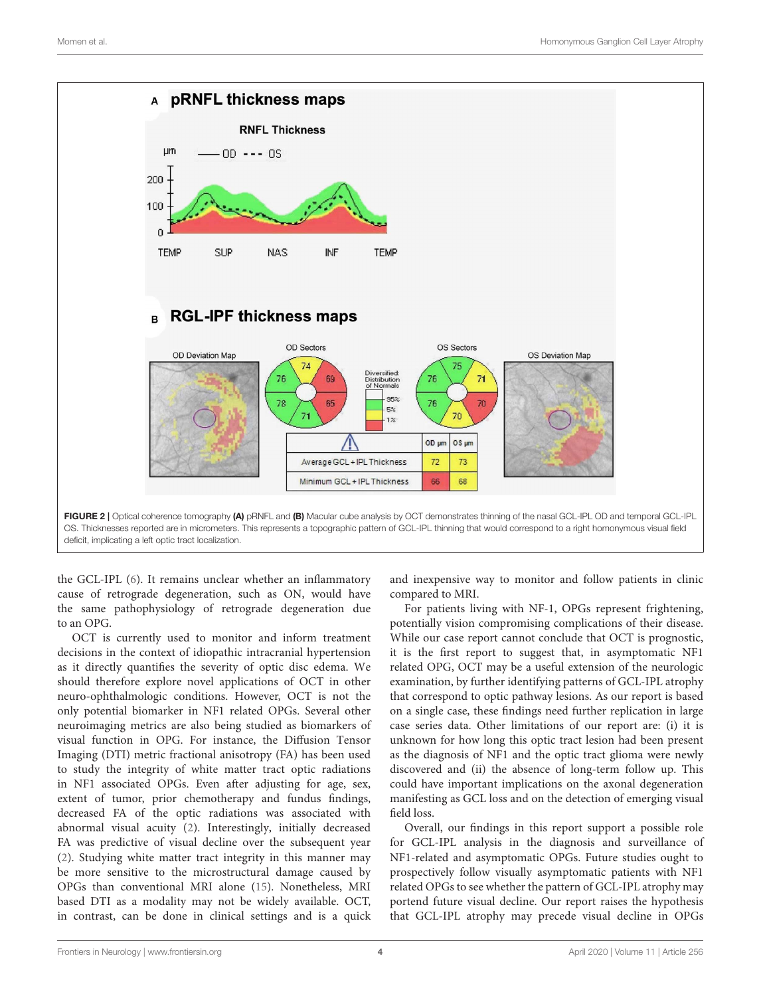

<span id="page-3-0"></span>the GCL-IPL [\(6\)](#page-4-5). It remains unclear whether an inflammatory cause of retrograde degeneration, such as ON, would have the same pathophysiology of retrograde degeneration due to an OPG.

OCT is currently used to monitor and inform treatment decisions in the context of idiopathic intracranial hypertension as it directly quantifies the severity of optic disc edema. We should therefore explore novel applications of OCT in other neuro-ophthalmologic conditions. However, OCT is not the only potential biomarker in NF1 related OPGs. Several other neuroimaging metrics are also being studied as biomarkers of visual function in OPG. For instance, the Diffusion Tensor Imaging (DTI) metric fractional anisotropy (FA) has been used to study the integrity of white matter tract optic radiations in NF1 associated OPGs. Even after adjusting for age, sex, extent of tumor, prior chemotherapy and fundus findings, decreased FA of the optic radiations was associated with abnormal visual acuity [\(2\)](#page-4-1). Interestingly, initially decreased FA was predictive of visual decline over the subsequent year [\(2\)](#page-4-1). Studying white matter tract integrity in this manner may be more sensitive to the microstructural damage caused by OPGs than conventional MRI alone [\(15\)](#page-4-15). Nonetheless, MRI based DTI as a modality may not be widely available. OCT, in contrast, can be done in clinical settings and is a quick and inexpensive way to monitor and follow patients in clinic compared to MRI.

For patients living with NF-1, OPGs represent frightening, potentially vision compromising complications of their disease. While our case report cannot conclude that OCT is prognostic, it is the first report to suggest that, in asymptomatic NF1 related OPG, OCT may be a useful extension of the neurologic examination, by further identifying patterns of GCL-IPL atrophy that correspond to optic pathway lesions. As our report is based on a single case, these findings need further replication in large case series data. Other limitations of our report are: (i) it is unknown for how long this optic tract lesion had been present as the diagnosis of NF1 and the optic tract glioma were newly discovered and (ii) the absence of long-term follow up. This could have important implications on the axonal degeneration manifesting as GCL loss and on the detection of emerging visual field loss.

Overall, our findings in this report support a possible role for GCL-IPL analysis in the diagnosis and surveillance of NF1-related and asymptomatic OPGs. Future studies ought to prospectively follow visually asymptomatic patients with NF1 related OPGs to see whether the pattern of GCL-IPL atrophy may portend future visual decline. Our report raises the hypothesis that GCL-IPL atrophy may precede visual decline in OPGs